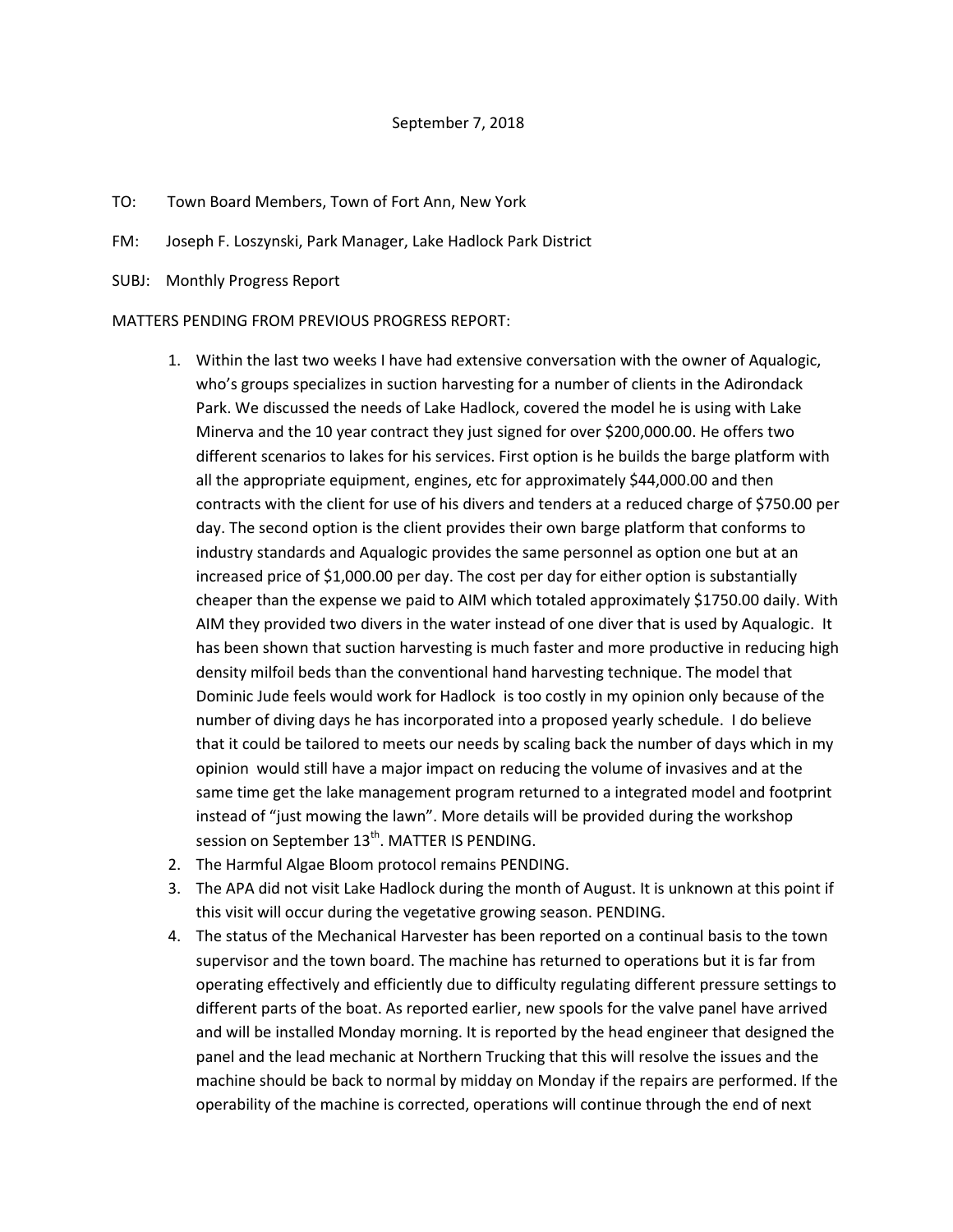## September 7, 2018

- TO: Town Board Members, Town of Fort Ann, New York
- FM: Joseph F. Loszynski, Park Manager, Lake Hadlock Park District
- SUBJ: Monthly Progress Report

## MATTERS PENDING FROM PREVIOUS PROGRESS REPORT:

- 1. Within the last two weeks I have had extensive conversation with the owner of Aqualogic, who's groups specializes in suction harvesting for a number of clients in the Adirondack Park. We discussed the needs of Lake Hadlock, covered the model he is using with Lake Minerva and the 10 year contract they just signed for over \$200,000.00. He offers two different scenarios to lakes for his services. First option is he builds the barge platform with all the appropriate equipment, engines, etc for approximately \$44,000.00 and then contracts with the client for use of his divers and tenders at a reduced charge of \$750.00 per day. The second option is the client provides their own barge platform that conforms to industry standards and Aqualogic provides the same personnel as option one but at an increased price of \$1,000.00 per day. The cost per day for either option is substantially cheaper than the expense we paid to AIM which totaled approximately \$1750.00 daily. With AIM they provided two divers in the water instead of one diver that is used by Aqualogic. It has been shown that suction harvesting is much faster and more productive in reducing high density milfoil beds than the conventional hand harvesting technique. The model that Dominic Jude feels would work for Hadlock is too costly in my opinion only because of the number of diving days he has incorporated into a proposed yearly schedule. I do believe that it could be tailored to meets our needs by scaling back the number of days which in my opinion would still have a major impact on reducing the volume of invasives and at the same time get the lake management program returned to a integrated model and footprint instead of "just mowing the lawn". More details will be provided during the workshop session on September 13<sup>th</sup>. MATTER IS PENDING.
- 2. The Harmful Algae Bloom protocol remains PENDING.
- 3. The APA did not visit Lake Hadlock during the month of August. It is unknown at this point if this visit will occur during the vegetative growing season. PENDING.
- 4. The status of the Mechanical Harvester has been reported on a continual basis to the town supervisor and the town board. The machine has returned to operations but it is far from operating effectively and efficiently due to difficulty regulating different pressure settings to different parts of the boat. As reported earlier, new spools for the valve panel have arrived and will be installed Monday morning. It is reported by the head engineer that designed the panel and the lead mechanic at Northern Trucking that this will resolve the issues and the machine should be back to normal by midday on Monday if the repairs are performed. If the operability of the machine is corrected, operations will continue through the end of next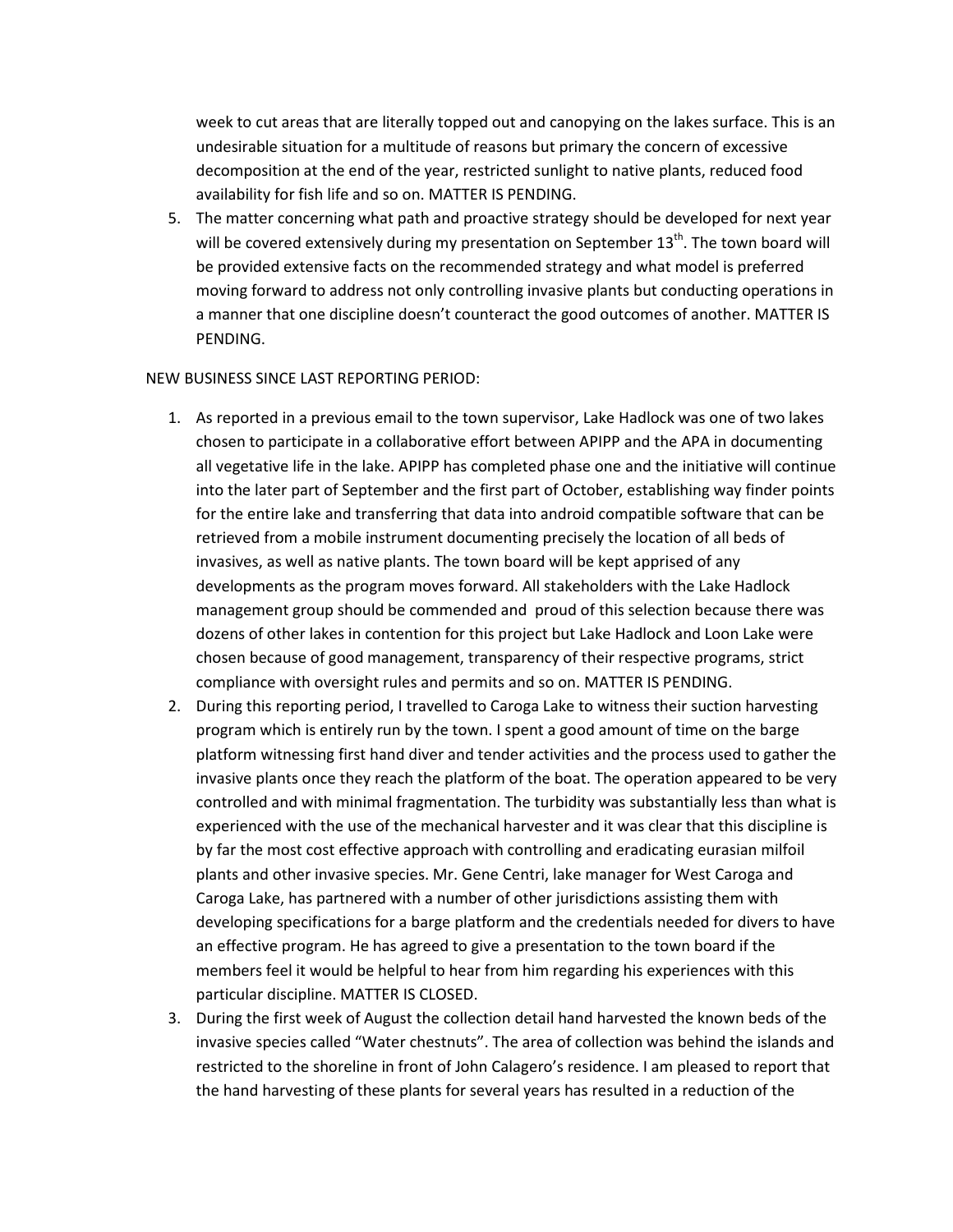week to cut areas that are literally topped out and canopying on the lakes surface. This is an undesirable situation for a multitude of reasons but primary the concern of excessive decomposition at the end of the year, restricted sunlight to native plants, reduced food availability for fish life and so on. MATTER IS PENDING.

5. The matter concerning what path and proactive strategy should be developed for next year will be covered extensively during my presentation on September 13<sup>th</sup>. The town board will be provided extensive facts on the recommended strategy and what model is preferred moving forward to address not only controlling invasive plants but conducting operations in a manner that one discipline doesn't counteract the good outcomes of another. MATTER IS PENDING.

## NEW BUSINESS SINCE LAST REPORTING PERIOD:

- 1. As reported in a previous email to the town supervisor, Lake Hadlock was one of two lakes chosen to participate in a collaborative effort between APIPP and the APA in documenting all vegetative life in the lake. APIPP has completed phase one and the initiative will continue into the later part of September and the first part of October, establishing way finder points for the entire lake and transferring that data into android compatible software that can be retrieved from a mobile instrument documenting precisely the location of all beds of invasives, as well as native plants. The town board will be kept apprised of any developments as the program moves forward. All stakeholders with the Lake Hadlock management group should be commended and proud of this selection because there was dozens of other lakes in contention for this project but Lake Hadlock and Loon Lake were chosen because of good management, transparency of their respective programs, strict compliance with oversight rules and permits and so on. MATTER IS PENDING.
- 2. During this reporting period, I travelled to Caroga Lake to witness their suction harvesting program which is entirely run by the town. I spent a good amount of time on the barge platform witnessing first hand diver and tender activities and the process used to gather the invasive plants once they reach the platform of the boat. The operation appeared to be very controlled and with minimal fragmentation. The turbidity was substantially less than what is experienced with the use of the mechanical harvester and it was clear that this discipline is by far the most cost effective approach with controlling and eradicating eurasian milfoil plants and other invasive species. Mr. Gene Centri, lake manager for West Caroga and Caroga Lake, has partnered with a number of other jurisdictions assisting them with developing specifications for a barge platform and the credentials needed for divers to have an effective program. He has agreed to give a presentation to the town board if the members feel it would be helpful to hear from him regarding his experiences with this particular discipline. MATTER IS CLOSED.
- 3. During the first week of August the collection detail hand harvested the known beds of the invasive species called "Water chestnuts". The area of collection was behind the islands and restricted to the shoreline in front of John Calagero's residence. I am pleased to report that the hand harvesting of these plants for several years has resulted in a reduction of the